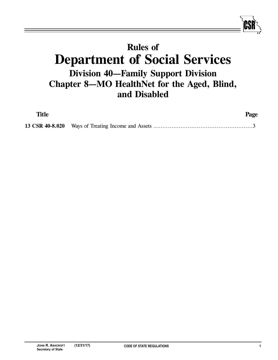## **Rules of Department of Social Services Division 40—Family Support Division Chapter 8—MO HealthNet for the Aged, Blind, and Disabled**

| <b>Title</b> | Page |
|--------------|------|
|              |      |